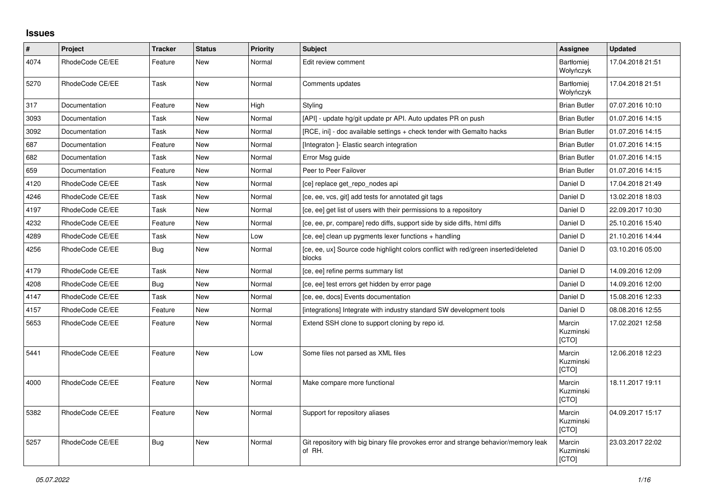## **Issues**

| $\vert$ # | Project         | <b>Tracker</b> | <b>Status</b> | <b>Priority</b> | <b>Subject</b>                                                                                | Assignee                       | <b>Updated</b>   |
|-----------|-----------------|----------------|---------------|-----------------|-----------------------------------------------------------------------------------------------|--------------------------------|------------------|
| 4074      | RhodeCode CE/EE | Feature        | New           | Normal          | Edit review comment                                                                           | <b>Bartłomiej</b><br>Wołyńczyk | 17.04.2018 21:51 |
| 5270      | RhodeCode CE/EE | Task           | <b>New</b>    | Normal          | Comments updates                                                                              | Bartłomiej<br>Wołyńczyk        | 17.04.2018 21:51 |
| 317       | Documentation   | Feature        | New           | High            | Styling                                                                                       | <b>Brian Butler</b>            | 07.07.2016 10:10 |
| 3093      | Documentation   | Task           | <b>New</b>    | Normal          | [API] - update hg/git update pr API. Auto updates PR on push                                  | <b>Brian Butler</b>            | 01.07.2016 14:15 |
| 3092      | Documentation   | Task           | <b>New</b>    | Normal          | [RCE, ini] - doc available settings + check tender with Gemalto hacks                         | <b>Brian Butler</b>            | 01.07.2016 14:15 |
| 687       | Documentation   | Feature        | New           | Normal          | [Integraton] - Elastic search integration                                                     | <b>Brian Butler</b>            | 01.07.2016 14:15 |
| 682       | Documentation   | Task           | New           | Normal          | Error Msg guide                                                                               | <b>Brian Butler</b>            | 01.07.2016 14:15 |
| 659       | Documentation   | Feature        | <b>New</b>    | Normal          | Peer to Peer Failover                                                                         | <b>Brian Butler</b>            | 01.07.2016 14:15 |
| 4120      | RhodeCode CE/EE | Task           | New           | Normal          | [ce] replace get repo nodes api                                                               | Daniel D                       | 17.04.2018 21:49 |
| 4246      | RhodeCode CE/EE | Task           | New           | Normal          | [ce, ee, vcs, git] add tests for annotated git tags                                           | Daniel D                       | 13.02.2018 18:03 |
| 4197      | RhodeCode CE/EE | Task           | <b>New</b>    | Normal          | [ce, ee] get list of users with their permissions to a repository                             | Daniel D                       | 22.09.2017 10:30 |
| 4232      | RhodeCode CE/EE | Feature        | New           | Normal          | [ce, ee, pr, compare] redo diffs, support side by side diffs, html diffs                      | Daniel D                       | 25.10.2016 15:40 |
| 4289      | RhodeCode CE/EE | Task           | <b>New</b>    | Low             | [ce, ee] clean up pygments lexer functions + handling                                         | Daniel D                       | 21.10.2016 14:44 |
| 4256      | RhodeCode CE/EE | Bug            | <b>New</b>    | Normal          | [ce, ee, ux] Source code highlight colors conflict with red/green inserted/deleted<br>blocks  | Daniel D                       | 03.10.2016 05:00 |
| 4179      | RhodeCode CE/EE | Task           | <b>New</b>    | Normal          | [ce, ee] refine perms summary list                                                            | Daniel D                       | 14.09.2016 12:09 |
| 4208      | RhodeCode CE/EE | Bug            | <b>New</b>    | Normal          | [ce, ee] test errors get hidden by error page                                                 | Daniel D                       | 14.09.2016 12:00 |
| 4147      | RhodeCode CE/EE | Task           | <b>New</b>    | Normal          | [ce, ee, docs] Events documentation                                                           | Daniel D                       | 15.08.2016 12:33 |
| 4157      | RhodeCode CE/EE | Feature        | <b>New</b>    | Normal          | [integrations] Integrate with industry standard SW development tools                          | Daniel D                       | 08.08.2016 12:55 |
| 5653      | RhodeCode CE/EE | Feature        | <b>New</b>    | Normal          | Extend SSH clone to support cloning by repo id.                                               | Marcin<br>Kuzminski<br>[CTO]   | 17.02.2021 12:58 |
| 5441      | RhodeCode CE/EE | Feature        | New           | Low             | Some files not parsed as XML files                                                            | Marcin<br>Kuzminski<br>[CTO]   | 12.06.2018 12:23 |
| 4000      | RhodeCode CE/EE | Feature        | <b>New</b>    | Normal          | Make compare more functional                                                                  | Marcin<br>Kuzminski<br>[CTO]   | 18.11.2017 19:11 |
| 5382      | RhodeCode CE/EE | Feature        | New           | Normal          | Support for repository aliases                                                                | Marcin<br>Kuzminski<br>[CTO]   | 04.09.2017 15:17 |
| 5257      | RhodeCode CE/EE | <b>Bug</b>     | New           | Normal          | Git repository with big binary file provokes error and strange behavior/memory leak<br>of RH. | Marcin<br>Kuzminski<br>[CTO]   | 23.03.2017 22:02 |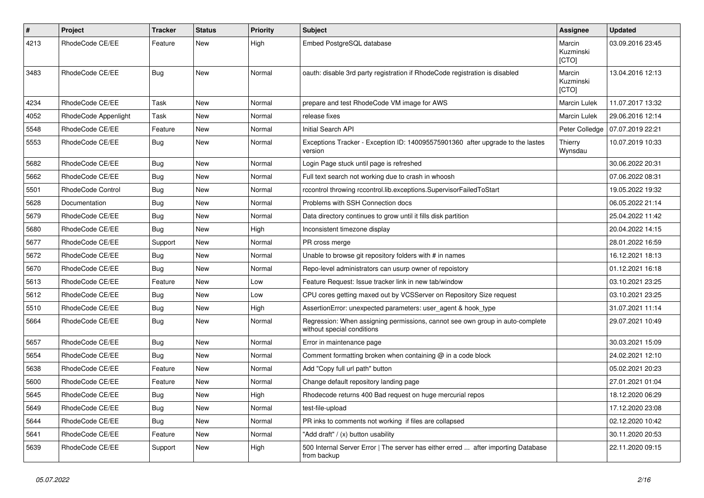| $\pmb{\#}$ | Project              | <b>Tracker</b> | <b>Status</b> | <b>Priority</b> | <b>Subject</b>                                                                                              | Assignee                            | <b>Updated</b>   |
|------------|----------------------|----------------|---------------|-----------------|-------------------------------------------------------------------------------------------------------------|-------------------------------------|------------------|
| 4213       | RhodeCode CE/EE      | Feature        | <b>New</b>    | High            | Embed PostgreSQL database                                                                                   | Marcin<br>Kuzminski<br>[CTO]        | 03.09.2016 23:45 |
| 3483       | RhodeCode CE/EE      | Bug            | <b>New</b>    | Normal          | oauth: disable 3rd party registration if RhodeCode registration is disabled                                 | Marcin<br>Kuzminski<br><b>ICTOI</b> | 13.04.2016 12:13 |
| 4234       | RhodeCode CE/EE      | Task           | New           | Normal          | prepare and test RhodeCode VM image for AWS                                                                 | <b>Marcin Lulek</b>                 | 11.07.2017 13:32 |
| 4052       | RhodeCode Appenlight | Task           | <b>New</b>    | Normal          | release fixes                                                                                               | <b>Marcin Lulek</b>                 | 29.06.2016 12:14 |
| 5548       | RhodeCode CE/EE      | Feature        | New           | Normal          | Initial Search API                                                                                          | Peter Colledge                      | 07.07.2019 22:21 |
| 5553       | RhodeCode CE/EE      | Bug            | <b>New</b>    | Normal          | Exceptions Tracker - Exception ID: 140095575901360 after upgrade to the lastes<br>version                   | Thierry<br>Wynsdau                  | 10.07.2019 10:33 |
| 5682       | RhodeCode CE/EE      | <b>Bug</b>     | New           | Normal          | Login Page stuck until page is refreshed                                                                    |                                     | 30.06.2022 20:31 |
| 5662       | RhodeCode CE/EE      | Bug            | New           | Normal          | Full text search not working due to crash in whoosh                                                         |                                     | 07.06.2022 08:31 |
| 5501       | RhodeCode Control    | Bug            | New           | Normal          | rccontrol throwing rccontrol.lib.exceptions.SupervisorFailedToStart                                         |                                     | 19.05.2022 19:32 |
| 5628       | Documentation        | <b>Bug</b>     | <b>New</b>    | Normal          | Problems with SSH Connection docs                                                                           |                                     | 06.05.2022 21:14 |
| 5679       | RhodeCode CE/EE      | <b>Bug</b>     | <b>New</b>    | Normal          | Data directory continues to grow until it fills disk partition                                              |                                     | 25.04.2022 11:42 |
| 5680       | RhodeCode CE/EE      | Bug            | <b>New</b>    | High            | Inconsistent timezone display                                                                               |                                     | 20.04.2022 14:15 |
| 5677       | RhodeCode CE/EE      | Support        | New           | Normal          | PR cross merge                                                                                              |                                     | 28.01.2022 16:59 |
| 5672       | RhodeCode CE/EE      | <b>Bug</b>     | <b>New</b>    | Normal          | Unable to browse git repository folders with # in names                                                     |                                     | 16.12.2021 18:13 |
| 5670       | RhodeCode CE/EE      | Bug            | <b>New</b>    | Normal          | Repo-level administrators can usurp owner of repoistory                                                     |                                     | 01.12.2021 16:18 |
| 5613       | RhodeCode CE/EE      | Feature        | New           | Low             | Feature Request: Issue tracker link in new tab/window                                                       |                                     | 03.10.2021 23:25 |
| 5612       | RhodeCode CE/EE      | <b>Bug</b>     | <b>New</b>    | Low             | CPU cores getting maxed out by VCSServer on Repository Size request                                         |                                     | 03.10.2021 23:25 |
| 5510       | RhodeCode CE/EE      | <b>Bug</b>     | <b>New</b>    | High            | AssertionError: unexpected parameters: user_agent & hook_type                                               |                                     | 31.07.2021 11:14 |
| 5664       | RhodeCode CE/EE      | Bug            | <b>New</b>    | Normal          | Regression: When assigning permissions, cannot see own group in auto-complete<br>without special conditions |                                     | 29.07.2021 10:49 |
| 5657       | RhodeCode CE/EE      | Bug            | New           | Normal          | Error in maintenance page                                                                                   |                                     | 30.03.2021 15:09 |
| 5654       | RhodeCode CE/EE      | Bug            | New           | Normal          | Comment formatting broken when containing $@$ in a code block                                               |                                     | 24.02.2021 12:10 |
| 5638       | RhodeCode CE/EE      | Feature        | New           | Normal          | Add "Copy full url path" button                                                                             |                                     | 05.02.2021 20:23 |
| 5600       | RhodeCode CE/EE      | Feature        | New           | Normal          | Change default repository landing page                                                                      |                                     | 27.01.2021 01:04 |
| 5645       | RhodeCode CE/EE      | Bug            | New           | High            | Rhodecode returns 400 Bad request on huge mercurial repos                                                   |                                     | 18.12.2020 06:29 |
| 5649       | RhodeCode CE/EE      | Bug            | New           | Normal          | test-file-upload                                                                                            |                                     | 17.12.2020 23:08 |
| 5644       | RhodeCode CE/EE      | Bug            | New           | Normal          | PR inks to comments not working if files are collapsed                                                      |                                     | 02.12.2020 10:42 |
| 5641       | RhodeCode CE/EE      | Feature        | New           | Normal          | "Add draft" / (x) button usability                                                                          |                                     | 30.11.2020 20:53 |
| 5639       | RhodeCode CE/EE      | Support        | <b>New</b>    | High            | 500 Internal Server Error   The server has either erred  after importing Database<br>from backup            |                                     | 22.11.2020 09:15 |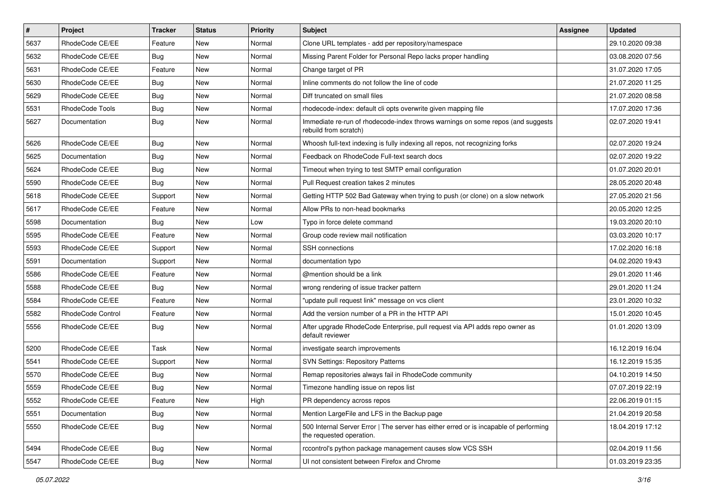| $\sharp$ | Project           | <b>Tracker</b> | <b>Status</b> | Priority | <b>Subject</b>                                                                                                    | <b>Assignee</b> | <b>Updated</b>   |
|----------|-------------------|----------------|---------------|----------|-------------------------------------------------------------------------------------------------------------------|-----------------|------------------|
| 5637     | RhodeCode CE/EE   | Feature        | New           | Normal   | Clone URL templates - add per repository/namespace                                                                |                 | 29.10.2020 09:38 |
| 5632     | RhodeCode CE/EE   | Bug            | <b>New</b>    | Normal   | Missing Parent Folder for Personal Repo lacks proper handling                                                     |                 | 03.08.2020 07:56 |
| 5631     | RhodeCode CE/EE   | Feature        | New           | Normal   | Change target of PR                                                                                               |                 | 31.07.2020 17:05 |
| 5630     | RhodeCode CE/EE   | Bug            | New           | Normal   | Inline comments do not follow the line of code                                                                    |                 | 21.07.2020 11:25 |
| 5629     | RhodeCode CE/EE   | Bug            | <b>New</b>    | Normal   | Diff truncated on small files                                                                                     |                 | 21.07.2020 08:58 |
| 5531     | RhodeCode Tools   | Bug            | New           | Normal   | rhodecode-index: default cli opts overwrite given mapping file                                                    |                 | 17.07.2020 17:36 |
| 5627     | Documentation     | Bug            | New           | Normal   | Immediate re-run of rhodecode-index throws warnings on some repos (and suggests<br>rebuild from scratch)          |                 | 02.07.2020 19:41 |
| 5626     | RhodeCode CE/EE   | Bug            | <b>New</b>    | Normal   | Whoosh full-text indexing is fully indexing all repos, not recognizing forks                                      |                 | 02.07.2020 19:24 |
| 5625     | Documentation     | <b>Bug</b>     | <b>New</b>    | Normal   | Feedback on RhodeCode Full-text search docs                                                                       |                 | 02.07.2020 19:22 |
| 5624     | RhodeCode CE/EE   | Bug            | New           | Normal   | Timeout when trying to test SMTP email configuration                                                              |                 | 01.07.2020 20:01 |
| 5590     | RhodeCode CE/EE   | <b>Bug</b>     | New           | Normal   | Pull Request creation takes 2 minutes                                                                             |                 | 28.05.2020 20:48 |
| 5618     | RhodeCode CE/EE   | Support        | <b>New</b>    | Normal   | Getting HTTP 502 Bad Gateway when trying to push (or clone) on a slow network                                     |                 | 27.05.2020 21:56 |
| 5617     | RhodeCode CE/EE   | Feature        | New           | Normal   | Allow PRs to non-head bookmarks                                                                                   |                 | 20.05.2020 12:25 |
| 5598     | Documentation     | Bug            | <b>New</b>    | Low      | Typo in force delete command                                                                                      |                 | 19.03.2020 20:10 |
| 5595     | RhodeCode CE/EE   | Feature        | New           | Normal   | Group code review mail notification                                                                               |                 | 03.03.2020 10:17 |
| 5593     | RhodeCode CE/EE   | Support        | New           | Normal   | <b>SSH</b> connections                                                                                            |                 | 17.02.2020 16:18 |
| 5591     | Documentation     | Support        | <b>New</b>    | Normal   | documentation typo                                                                                                |                 | 04.02.2020 19:43 |
| 5586     | RhodeCode CE/EE   | Feature        | New           | Normal   | @mention should be a link                                                                                         |                 | 29.01.2020 11:46 |
| 5588     | RhodeCode CE/EE   | Bug            | New           | Normal   | wrong rendering of issue tracker pattern                                                                          |                 | 29.01.2020 11:24 |
| 5584     | RhodeCode CE/EE   | Feature        | <b>New</b>    | Normal   | "update pull request link" message on vcs client                                                                  |                 | 23.01.2020 10:32 |
| 5582     | RhodeCode Control | Feature        | <b>New</b>    | Normal   | Add the version number of a PR in the HTTP API                                                                    |                 | 15.01.2020 10:45 |
| 5556     | RhodeCode CE/EE   | Bug            | New           | Normal   | After upgrade RhodeCode Enterprise, pull request via API adds repo owner as<br>default reviewer                   |                 | 01.01.2020 13:09 |
| 5200     | RhodeCode CE/EE   | Task           | <b>New</b>    | Normal   | investigate search improvements                                                                                   |                 | 16.12.2019 16:04 |
| 5541     | RhodeCode CE/EE   | Support        | <b>New</b>    | Normal   | <b>SVN Settings: Repository Patterns</b>                                                                          |                 | 16.12.2019 15:35 |
| 5570     | RhodeCode CE/EE   | Bug            | New           | Normal   | Remap repositories always fail in RhodeCode community                                                             |                 | 04.10.2019 14:50 |
| 5559     | RhodeCode CE/EE   | Bug            | New           | Normal   | Timezone handling issue on repos list                                                                             |                 | 07.07.2019 22:19 |
| 5552     | RhodeCode CE/EE   | Feature        | New           | High     | PR dependency across repos                                                                                        |                 | 22.06.2019 01:15 |
| 5551     | Documentation     | Bug            | New           | Normal   | Mention LargeFile and LFS in the Backup page                                                                      |                 | 21.04.2019 20:58 |
| 5550     | RhodeCode CE/EE   | Bug            | <b>New</b>    | Normal   | 500 Internal Server Error   The server has either erred or is incapable of performing<br>the requested operation. |                 | 18.04.2019 17:12 |
| 5494     | RhodeCode CE/EE   | Bug            | <b>New</b>    | Normal   | rccontrol's python package management causes slow VCS SSH                                                         |                 | 02.04.2019 11:56 |
| 5547     | RhodeCode CE/EE   | Bug            | New           | Normal   | UI not consistent between Firefox and Chrome                                                                      |                 | 01.03.2019 23:35 |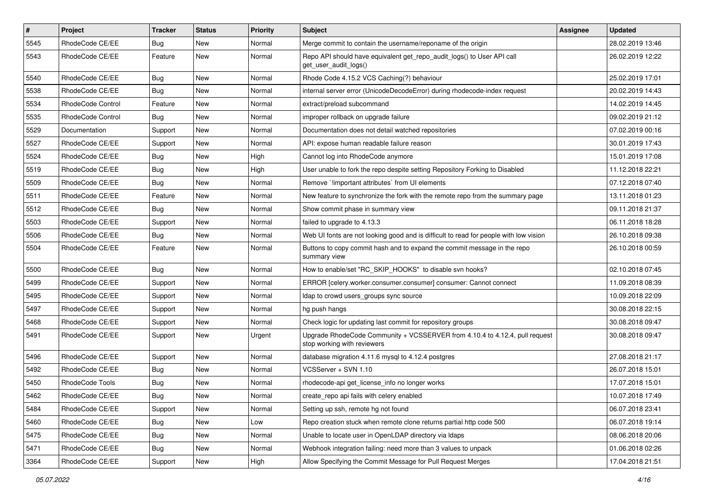| $\pmb{\#}$ | Project           | <b>Tracker</b> | <b>Status</b> | <b>Priority</b> | <b>Subject</b>                                                                                             | Assignee | <b>Updated</b>   |
|------------|-------------------|----------------|---------------|-----------------|------------------------------------------------------------------------------------------------------------|----------|------------------|
| 5545       | RhodeCode CE/EE   | Bug            | New           | Normal          | Merge commit to contain the username/reponame of the origin                                                |          | 28.02.2019 13:46 |
| 5543       | RhodeCode CE/EE   | Feature        | New           | Normal          | Repo API should have equivalent get_repo_audit_logs() to User API call<br>get user audit logs()            |          | 26.02.2019 12:22 |
| 5540       | RhodeCode CE/EE   | <b>Bug</b>     | <b>New</b>    | Normal          | Rhode Code 4.15.2 VCS Caching(?) behaviour                                                                 |          | 25.02.2019 17:01 |
| 5538       | RhodeCode CE/EE   | <b>Bug</b>     | <b>New</b>    | Normal          | internal server error (UnicodeDecodeError) during rhodecode-index request                                  |          | 20.02.2019 14:43 |
| 5534       | RhodeCode Control | Feature        | <b>New</b>    | Normal          | extract/preload subcommand                                                                                 |          | 14.02.2019 14:45 |
| 5535       | RhodeCode Control | Bug            | New           | Normal          | improper rollback on upgrade failure                                                                       |          | 09.02.2019 21:12 |
| 5529       | Documentation     | Support        | New           | Normal          | Documentation does not detail watched repositories                                                         |          | 07.02.2019 00:16 |
| 5527       | RhodeCode CE/EE   | Support        | New           | Normal          | API: expose human readable failure reason                                                                  |          | 30.01.2019 17:43 |
| 5524       | RhodeCode CE/EE   | Bug            | New           | High            | Cannot log into RhodeCode anymore                                                                          |          | 15.01.2019 17:08 |
| 5519       | RhodeCode CE/EE   | Bug            | New           | High            | User unable to fork the repo despite setting Repository Forking to Disabled                                |          | 11.12.2018 22:21 |
| 5509       | RhodeCode CE/EE   | Bug            | New           | Normal          | Remove `!important attributes` from UI elements                                                            |          | 07.12.2018 07:40 |
| 5511       | RhodeCode CE/EE   | Feature        | <b>New</b>    | Normal          | New feature to synchronize the fork with the remote repo from the summary page                             |          | 13.11.2018 01:23 |
| 5512       | RhodeCode CE/EE   | Bug            | New           | Normal          | Show commit phase in summary view                                                                          |          | 09.11.2018 21:37 |
| 5503       | RhodeCode CE/EE   | Support        | New           | Normal          | failed to upgrade to 4.13.3                                                                                |          | 06.11.2018 18:28 |
| 5506       | RhodeCode CE/EE   | Bug            | New           | Normal          | Web UI fonts are not looking good and is difficult to read for people with low vision                      |          | 26.10.2018 09:38 |
| 5504       | RhodeCode CE/EE   | Feature        | New           | Normal          | Buttons to copy commit hash and to expand the commit message in the repo<br>summary view                   |          | 26.10.2018 00:59 |
| 5500       | RhodeCode CE/EE   | Bug            | <b>New</b>    | Normal          | How to enable/set "RC_SKIP_HOOKS" to disable svn hooks?                                                    |          | 02.10.2018 07:45 |
| 5499       | RhodeCode CE/EE   | Support        | New           | Normal          | ERROR [celery.worker.consumer.consumer] consumer: Cannot connect                                           |          | 11.09.2018 08:39 |
| 5495       | RhodeCode CE/EE   | Support        | <b>New</b>    | Normal          | Idap to crowd users_groups sync source                                                                     |          | 10.09.2018 22:09 |
| 5497       | RhodeCode CE/EE   | Support        | New           | Normal          | hg push hangs                                                                                              |          | 30.08.2018 22:15 |
| 5468       | RhodeCode CE/EE   | Support        | <b>New</b>    | Normal          | Check logic for updating last commit for repository groups                                                 |          | 30.08.2018 09:47 |
| 5491       | RhodeCode CE/EE   | Support        | New           | Urgent          | Upgrade RhodeCode Community + VCSSERVER from 4.10.4 to 4.12.4, pull request<br>stop working with reviewers |          | 30.08.2018 09:47 |
| 5496       | RhodeCode CE/EE   | Support        | <b>New</b>    | Normal          | database migration 4.11.6 mysql to 4.12.4 postgres                                                         |          | 27.08.2018 21:17 |
| 5492       | RhodeCode CE/EE   | Bug            | New           | Normal          | VCSServer + SVN 1.10                                                                                       |          | 26.07.2018 15:01 |
| 5450       | RhodeCode Tools   | Bug            | New           | Normal          | rhodecode-api get_license_info no longer works                                                             |          | 17.07.2018 15:01 |
| 5462       | RhodeCode CE/EE   | Bug            | New           | Normal          | create_repo api fails with celery enabled                                                                  |          | 10.07.2018 17:49 |
| 5484       | RhodeCode CE/EE   | Support        | New           | Normal          | Setting up ssh, remote hg not found                                                                        |          | 06.07.2018 23:41 |
| 5460       | RhodeCode CE/EE   | Bug            | New           | Low             | Repo creation stuck when remote clone returns partial http code 500                                        |          | 06.07.2018 19:14 |
| 5475       | RhodeCode CE/EE   | Bug            | New           | Normal          | Unable to locate user in OpenLDAP directory via Idaps                                                      |          | 08.06.2018 20:06 |
| 5471       | RhodeCode CE/EE   | Bug            | New           | Normal          | Webhook integration failing: need more than 3 values to unpack                                             |          | 01.06.2018 02:26 |
| 3364       | RhodeCode CE/EE   | Support        | New           | High            | Allow Specifying the Commit Message for Pull Request Merges                                                |          | 17.04.2018 21:51 |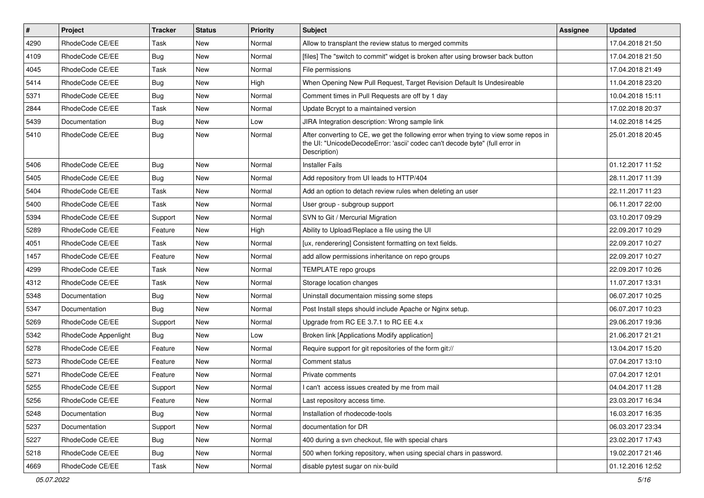| $\pmb{\#}$ | Project              | <b>Tracker</b> | <b>Status</b> | <b>Priority</b> | <b>Subject</b>                                                                                                                                                                       | Assignee | <b>Updated</b>   |
|------------|----------------------|----------------|---------------|-----------------|--------------------------------------------------------------------------------------------------------------------------------------------------------------------------------------|----------|------------------|
| 4290       | RhodeCode CE/EE      | Task           | New           | Normal          | Allow to transplant the review status to merged commits                                                                                                                              |          | 17.04.2018 21:50 |
| 4109       | RhodeCode CE/EE      | Bug            | <b>New</b>    | Normal          | [files] The "switch to commit" widget is broken after using browser back button                                                                                                      |          | 17.04.2018 21:50 |
| 4045       | RhodeCode CE/EE      | Task           | New           | Normal          | File permissions                                                                                                                                                                     |          | 17.04.2018 21:49 |
| 5414       | RhodeCode CE/EE      | <b>Bug</b>     | New           | High            | When Opening New Pull Request, Target Revision Default Is Undesireable                                                                                                               |          | 11.04.2018 23:20 |
| 5371       | RhodeCode CE/EE      | <b>Bug</b>     | <b>New</b>    | Normal          | Comment times in Pull Requests are off by 1 day                                                                                                                                      |          | 10.04.2018 15:11 |
| 2844       | RhodeCode CE/EE      | Task           | New           | Normal          | Update Bcrypt to a maintained version                                                                                                                                                |          | 17.02.2018 20:37 |
| 5439       | Documentation        | <b>Bug</b>     | New           | Low             | JIRA Integration description: Wrong sample link                                                                                                                                      |          | 14.02.2018 14:25 |
| 5410       | RhodeCode CE/EE      | <b>Bug</b>     | New           | Normal          | After converting to CE, we get the following error when trying to view some repos in<br>the UI: "UnicodeDecodeError: 'ascii' codec can't decode byte" (full error in<br>Description) |          | 25.01.2018 20:45 |
| 5406       | RhodeCode CE/EE      | <b>Bug</b>     | New           | Normal          | <b>Installer Fails</b>                                                                                                                                                               |          | 01.12.2017 11:52 |
| 5405       | RhodeCode CE/EE      | <b>Bug</b>     | New           | Normal          | Add repository from UI leads to HTTP/404                                                                                                                                             |          | 28.11.2017 11:39 |
| 5404       | RhodeCode CE/EE      | Task           | New           | Normal          | Add an option to detach review rules when deleting an user                                                                                                                           |          | 22.11.2017 11:23 |
| 5400       | RhodeCode CE/EE      | Task           | New           | Normal          | User group - subgroup support                                                                                                                                                        |          | 06.11.2017 22:00 |
| 5394       | RhodeCode CE/EE      | Support        | New           | Normal          | SVN to Git / Mercurial Migration                                                                                                                                                     |          | 03.10.2017 09:29 |
| 5289       | RhodeCode CE/EE      | Feature        | <b>New</b>    | High            | Ability to Upload/Replace a file using the UI                                                                                                                                        |          | 22.09.2017 10:29 |
| 4051       | RhodeCode CE/EE      | Task           | New           | Normal          | [ux, renderering] Consistent formatting on text fields.                                                                                                                              |          | 22.09.2017 10:27 |
| 1457       | RhodeCode CE/EE      | Feature        | New           | Normal          | add allow permissions inheritance on repo groups                                                                                                                                     |          | 22.09.2017 10:27 |
| 4299       | RhodeCode CE/EE      | Task           | New           | Normal          | TEMPLATE repo groups                                                                                                                                                                 |          | 22.09.2017 10:26 |
| 4312       | RhodeCode CE/EE      | Task           | New           | Normal          | Storage location changes                                                                                                                                                             |          | 11.07.2017 13:31 |
| 5348       | Documentation        | Bug            | <b>New</b>    | Normal          | Uninstall documentaion missing some steps                                                                                                                                            |          | 06.07.2017 10:25 |
| 5347       | Documentation        | <b>Bug</b>     | New           | Normal          | Post Install steps should include Apache or Nginx setup.                                                                                                                             |          | 06.07.2017 10:23 |
| 5269       | RhodeCode CE/EE      | Support        | New           | Normal          | Upgrade from RC EE 3.7.1 to RC EE 4.x                                                                                                                                                |          | 29.06.2017 19:36 |
| 5342       | RhodeCode Appenlight | Bug            | New           | Low             | Broken link [Applications Modify application]                                                                                                                                        |          | 21.06.2017 21:21 |
| 5278       | RhodeCode CE/EE      | Feature        | New           | Normal          | Require support for git repositories of the form git://                                                                                                                              |          | 13.04.2017 15:20 |
| 5273       | RhodeCode CE/EE      | Feature        | <b>New</b>    | Normal          | Comment status                                                                                                                                                                       |          | 07.04.2017 13:10 |
| 5271       | RhodeCode CE/EE      | Feature        | New           | Normal          | Private comments                                                                                                                                                                     |          | 07.04.2017 12:01 |
| 5255       | RhodeCode CE/EE      | Support        | New           | Normal          | I can't access issues created by me from mail                                                                                                                                        |          | 04.04.2017 11:28 |
| 5256       | RhodeCode CE/EE      | Feature        | New           | Normal          | Last repository access time.                                                                                                                                                         |          | 23.03.2017 16:34 |
| 5248       | Documentation        | Bug            | New           | Normal          | Installation of rhodecode-tools                                                                                                                                                      |          | 16.03.2017 16:35 |
| 5237       | Documentation        | Support        | New           | Normal          | documentation for DR                                                                                                                                                                 |          | 06.03.2017 23:34 |
| 5227       | RhodeCode CE/EE      | Bug            | New           | Normal          | 400 during a svn checkout, file with special chars                                                                                                                                   |          | 23.02.2017 17:43 |
| 5218       | RhodeCode CE/EE      | <b>Bug</b>     | New           | Normal          | 500 when forking repository, when using special chars in password.                                                                                                                   |          | 19.02.2017 21:46 |
| 4669       | RhodeCode CE/EE      | Task           | New           | Normal          | disable pytest sugar on nix-build                                                                                                                                                    |          | 01.12.2016 12:52 |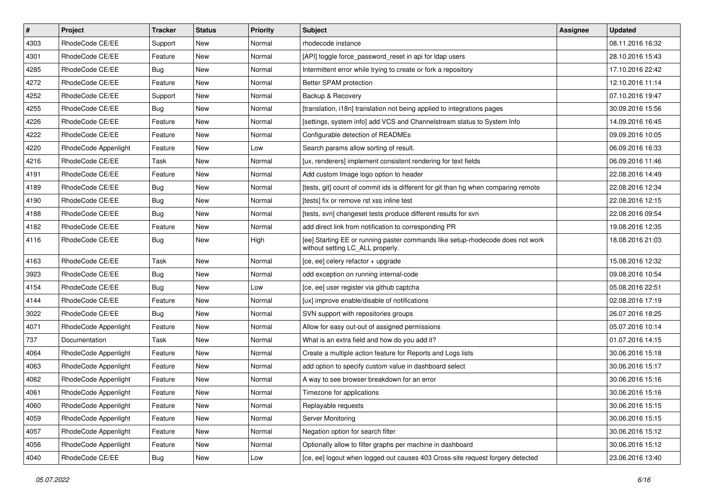| $\vert$ # | Project              | <b>Tracker</b> | <b>Status</b> | <b>Priority</b> | <b>Subject</b>                                                                                                     | <b>Assignee</b> | <b>Updated</b>   |
|-----------|----------------------|----------------|---------------|-----------------|--------------------------------------------------------------------------------------------------------------------|-----------------|------------------|
| 4303      | RhodeCode CE/EE      | Support        | New           | Normal          | rhodecode instance                                                                                                 |                 | 08.11.2016 16:32 |
| 4301      | RhodeCode CE/EE      | Feature        | <b>New</b>    | Normal          | [API] toggle force_password_reset in api for Idap users                                                            |                 | 28.10.2016 15:43 |
| 4285      | RhodeCode CE/EE      | Bug            | New           | Normal          | Intermittent error while trying to create or fork a repository                                                     |                 | 17.10.2016 22:42 |
| 4272      | RhodeCode CE/EE      | Feature        | New           | Normal          | Better SPAM protection                                                                                             |                 | 12.10.2016 11:14 |
| 4252      | RhodeCode CE/EE      | Support        | <b>New</b>    | Normal          | Backup & Recovery                                                                                                  |                 | 07.10.2016 19:47 |
| 4255      | RhodeCode CE/EE      | Bug            | New           | Normal          | [translation, i18n] translation not being applied to integrations pages                                            |                 | 30.09.2016 15:56 |
| 4226      | RhodeCode CE/EE      | Feature        | New           | Normal          | [settings, system info] add VCS and Channelstream status to System Info                                            |                 | 14.09.2016 16:45 |
| 4222      | RhodeCode CE/EE      | Feature        | New           | Normal          | Configurable detection of READMEs                                                                                  |                 | 09.09.2016 10:05 |
| 4220      | RhodeCode Appenlight | Feature        | <b>New</b>    | Low             | Search params allow sorting of result.                                                                             |                 | 06.09.2016 16:33 |
| 4216      | RhodeCode CE/EE      | Task           | <b>New</b>    | Normal          | [ux, renderers] implement consistent rendering for text fields                                                     |                 | 06.09.2016 11:46 |
| 4191      | RhodeCode CE/EE      | Feature        | New           | Normal          | Add custom Image logo option to header                                                                             |                 | 22.08.2016 14:49 |
| 4189      | RhodeCode CE/EE      | Bug            | New           | Normal          | [tests, git] count of commit ids is different for git than hg when comparing remote                                |                 | 22.08.2016 12:34 |
| 4190      | RhodeCode CE/EE      | <b>Bug</b>     | <b>New</b>    | Normal          | [tests] fix or remove rst xss inline test                                                                          |                 | 22.08.2016 12:15 |
| 4188      | RhodeCode CE/EE      | Bug            | <b>New</b>    | Normal          | [tests, svn] changeset tests produce different results for svn                                                     |                 | 22.08.2016 09:54 |
| 4182      | RhodeCode CE/EE      | Feature        | <b>New</b>    | Normal          | add direct link from notification to corresponding PR                                                              |                 | 19.08.2016 12:35 |
| 4116      | RhodeCode CE/EE      | Bug            | New           | High            | [ee] Starting EE or running paster commands like setup-rhodecode does not work<br>without setting LC_ALL properly. |                 | 18.08.2016 21:03 |
| 4163      | RhodeCode CE/EE      | Task           | <b>New</b>    | Normal          | [ce, ee] celery refactor + upgrade                                                                                 |                 | 15.08.2016 12:32 |
| 3923      | RhodeCode CE/EE      | Bug            | New           | Normal          | odd exception on running internal-code                                                                             |                 | 09.08.2016 10:54 |
| 4154      | RhodeCode CE/EE      | Bug            | New           | Low             | [ce, ee] user register via github captcha                                                                          |                 | 05.08.2016 22:51 |
| 4144      | RhodeCode CE/EE      | Feature        | <b>New</b>    | Normal          | [ux] improve enable/disable of notifications                                                                       |                 | 02.08.2016 17:19 |
| 3022      | RhodeCode CE/EE      | Bug            | <b>New</b>    | Normal          | SVN support with repositories groups                                                                               |                 | 26.07.2016 18:25 |
| 4071      | RhodeCode Appenlight | Feature        | <b>New</b>    | Normal          | Allow for easy out-out of assigned permissions                                                                     |                 | 05.07.2016 10:14 |
| 737       | Documentation        | Task           | New           | Normal          | What is an extra field and how do you add it?                                                                      |                 | 01.07.2016 14:15 |
| 4064      | RhodeCode Appenlight | Feature        | New           | Normal          | Create a multiple action feature for Reports and Logs lists                                                        |                 | 30.06.2016 15:18 |
| 4063      | RhodeCode Appenlight | Feature        | <b>New</b>    | Normal          | add option to specify custom value in dashboard select                                                             |                 | 30.06.2016 15:17 |
| 4062      | RhodeCode Appenlight | Feature        | New           | Normal          | A way to see browser breakdown for an error                                                                        |                 | 30.06.2016 15:16 |
| 4061      | RhodeCode Appenlight | Feature        | New           | Normal          | Timezone for applications                                                                                          |                 | 30.06.2016 15:16 |
| 4060      | RhodeCode Appenlight | Feature        | New           | Normal          | Replayable requests                                                                                                |                 | 30.06.2016 15:15 |
| 4059      | RhodeCode Appenlight | Feature        | New           | Normal          | Server Monitoring                                                                                                  |                 | 30.06.2016 15:15 |
| 4057      | RhodeCode Appenlight | Feature        | New           | Normal          | Negation option for search filter                                                                                  |                 | 30.06.2016 15:12 |
| 4056      | RhodeCode Appenlight | Feature        | New           | Normal          | Optionally allow to filter graphs per machine in dashboard                                                         |                 | 30.06.2016 15:12 |
| 4040      | RhodeCode CE/EE      | <b>Bug</b>     | New           | Low             | [ce, ee] logout when logged out causes 403 Cross-site request forgery detected                                     |                 | 23.06.2016 13:40 |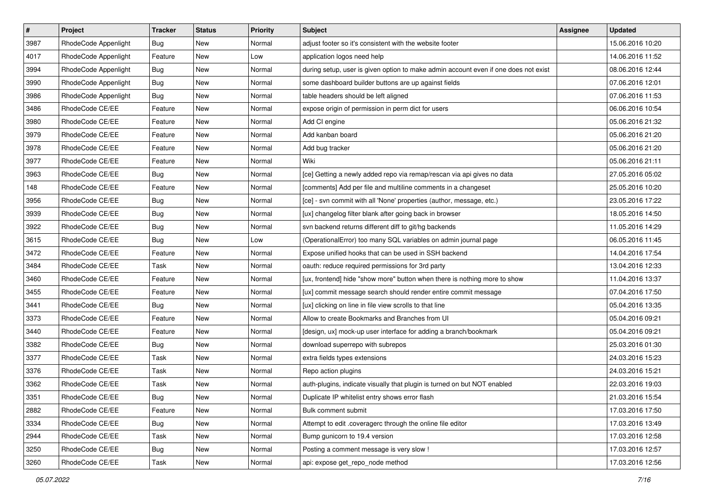| $\vert$ # | Project              | Tracker    | <b>Status</b> | <b>Priority</b> | <b>Subject</b>                                                                      | <b>Assignee</b> | <b>Updated</b>   |
|-----------|----------------------|------------|---------------|-----------------|-------------------------------------------------------------------------------------|-----------------|------------------|
| 3987      | RhodeCode Appenlight | <b>Bug</b> | New           | Normal          | adjust footer so it's consistent with the website footer                            |                 | 15.06.2016 10:20 |
| 4017      | RhodeCode Appenlight | Feature    | New           | Low             | application logos need help                                                         |                 | 14.06.2016 11:52 |
| 3994      | RhodeCode Appenlight | Bug        | New           | Normal          | during setup, user is given option to make admin account even if one does not exist |                 | 08.06.2016 12:44 |
| 3990      | RhodeCode Appenlight | Bug        | New           | Normal          | some dashboard builder buttons are up against fields                                |                 | 07.06.2016 12:01 |
| 3986      | RhodeCode Appenlight | Bug        | New           | Normal          | table headers should be left aligned                                                |                 | 07.06.2016 11:53 |
| 3486      | RhodeCode CE/EE      | Feature    | New           | Normal          | expose origin of permission in perm dict for users                                  |                 | 06.06.2016 10:54 |
| 3980      | RhodeCode CE/EE      | Feature    | New           | Normal          | Add CI engine                                                                       |                 | 05.06.2016 21:32 |
| 3979      | RhodeCode CE/EE      | Feature    | New           | Normal          | Add kanban board                                                                    |                 | 05.06.2016 21:20 |
| 3978      | RhodeCode CE/EE      | Feature    | New           | Normal          | Add bug tracker                                                                     |                 | 05.06.2016 21:20 |
| 3977      | RhodeCode CE/EE      | Feature    | New           | Normal          | Wiki                                                                                |                 | 05.06.2016 21:11 |
| 3963      | RhodeCode CE/EE      | Bug        | New           | Normal          | [ce] Getting a newly added repo via remap/rescan via api gives no data              |                 | 27.05.2016 05:02 |
| 148       | RhodeCode CE/EE      | Feature    | New           | Normal          | [comments] Add per file and multiline comments in a changeset                       |                 | 25.05.2016 10:20 |
| 3956      | RhodeCode CE/EE      | <b>Bug</b> | New           | Normal          | [ce] - svn commit with all 'None' properties (author, message, etc.)                |                 | 23.05.2016 17:22 |
| 3939      | RhodeCode CE/EE      | <b>Bug</b> | New           | Normal          | [ux] changelog filter blank after going back in browser                             |                 | 18.05.2016 14:50 |
| 3922      | RhodeCode CE/EE      | <b>Bug</b> | New           | Normal          | svn backend returns different diff to git/hg backends                               |                 | 11.05.2016 14:29 |
| 3615      | RhodeCode CE/EE      | Bug        | New           | Low             | (OperationalError) too many SQL variables on admin journal page                     |                 | 06.05.2016 11:45 |
| 3472      | RhodeCode CE/EE      | Feature    | New           | Normal          | Expose unified hooks that can be used in SSH backend                                |                 | 14.04.2016 17:54 |
| 3484      | RhodeCode CE/EE      | Task       | New           | Normal          | oauth: reduce required permissions for 3rd party                                    |                 | 13.04.2016 12:33 |
| 3460      | RhodeCode CE/EE      | Feature    | New           | Normal          | [ux, frontend] hide "show more" button when there is nothing more to show           |                 | 11.04.2016 13:37 |
| 3455      | RhodeCode CE/EE      | Feature    | New           | Normal          | [ux] commit message search should render entire commit message                      |                 | 07.04.2016 17:50 |
| 3441      | RhodeCode CE/EE      | Bug        | New           | Normal          | [ux] clicking on line in file view scrolls to that line                             |                 | 05.04.2016 13:35 |
| 3373      | RhodeCode CE/EE      | Feature    | New           | Normal          | Allow to create Bookmarks and Branches from UI                                      |                 | 05.04.2016 09:21 |
| 3440      | RhodeCode CE/EE      | Feature    | New           | Normal          | [design, ux] mock-up user interface for adding a branch/bookmark                    |                 | 05.04.2016 09:21 |
| 3382      | RhodeCode CE/EE      | Bug        | New           | Normal          | download superrepo with subrepos                                                    |                 | 25.03.2016 01:30 |
| 3377      | RhodeCode CE/EE      | Task       | New           | Normal          | extra fields types extensions                                                       |                 | 24.03.2016 15:23 |
| 3376      | RhodeCode CE/EE      | Task       | New           | Normal          | Repo action plugins                                                                 |                 | 24.03.2016 15:21 |
| 3362      | RhodeCode CE/EE      | Task       | New           | Normal          | auth-plugins, indicate visually that plugin is turned on but NOT enabled            |                 | 22.03.2016 19:03 |
| 3351      | RhodeCode CE/EE      | Bug        | New           | Normal          | Duplicate IP whitelist entry shows error flash                                      |                 | 21.03.2016 15:54 |
| 2882      | RhodeCode CE/EE      | Feature    | New           | Normal          | Bulk comment submit                                                                 |                 | 17.03.2016 17:50 |
| 3334      | RhodeCode CE/EE      | Bug        | New           | Normal          | Attempt to edit .coveragerc through the online file editor                          |                 | 17.03.2016 13:49 |
| 2944      | RhodeCode CE/EE      | Task       | New           | Normal          | Bump gunicorn to 19.4 version                                                       |                 | 17.03.2016 12:58 |
| 3250      | RhodeCode CE/EE      | <b>Bug</b> | New           | Normal          | Posting a comment message is very slow !                                            |                 | 17.03.2016 12:57 |
| 3260      | RhodeCode CE/EE      | Task       | New           | Normal          | api: expose get_repo_node method                                                    |                 | 17.03.2016 12:56 |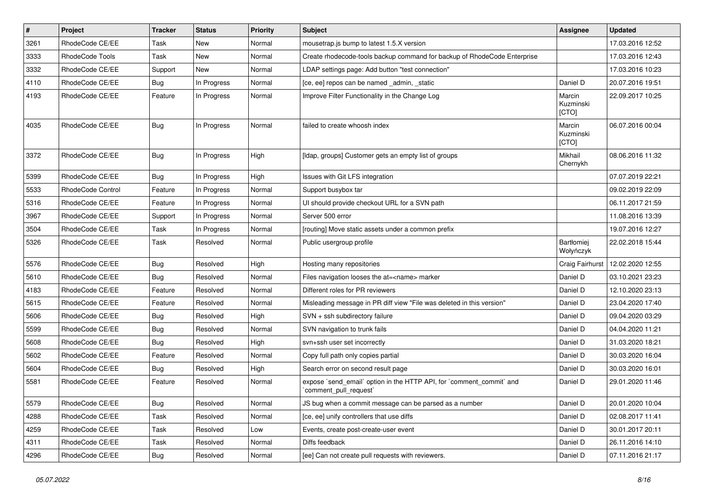| $\pmb{\#}$ | Project           | <b>Tracker</b> | <b>Status</b> | <b>Priority</b> | <b>Subject</b>                                                                                 | <b>Assignee</b>              | Updated          |
|------------|-------------------|----------------|---------------|-----------------|------------------------------------------------------------------------------------------------|------------------------------|------------------|
| 3261       | RhodeCode CE/EE   | Task           | New           | Normal          | mousetrap.js bump to latest 1.5.X version                                                      |                              | 17.03.2016 12:52 |
| 3333       | RhodeCode Tools   | Task           | <b>New</b>    | Normal          | Create rhodecode-tools backup command for backup of RhodeCode Enterprise                       |                              | 17.03.2016 12:43 |
| 3332       | RhodeCode CE/EE   | Support        | <b>New</b>    | Normal          | LDAP settings page: Add button "test connection"                                               |                              | 17.03.2016 10:23 |
| 4110       | RhodeCode CE/EE   | Bug            | In Progress   | Normal          | [ce, ee] repos can be named _admin, _static                                                    | Daniel D                     | 20.07.2016 19:51 |
| 4193       | RhodeCode CE/EE   | Feature        | In Progress   | Normal          | Improve Filter Functionality in the Change Log                                                 | Marcin<br>Kuzminski<br>[CTO] | 22.09.2017 10:25 |
| 4035       | RhodeCode CE/EE   | <b>Bug</b>     | In Progress   | Normal          | failed to create whoosh index                                                                  | Marcin<br>Kuzminski<br>[CTO] | 06.07.2016 00:04 |
| 3372       | RhodeCode CE/EE   | Bug            | In Progress   | High            | [Idap, groups] Customer gets an empty list of groups                                           | Mikhail<br>Chernykh          | 08.06.2016 11:32 |
| 5399       | RhodeCode CE/EE   | Bug            | In Progress   | High            | Issues with Git LFS integration                                                                |                              | 07.07.2019 22:21 |
| 5533       | RhodeCode Control | Feature        | In Progress   | Normal          | Support busybox tar                                                                            |                              | 09.02.2019 22:09 |
| 5316       | RhodeCode CE/EE   | Feature        | In Progress   | Normal          | UI should provide checkout URL for a SVN path                                                  |                              | 06.11.2017 21:59 |
| 3967       | RhodeCode CE/EE   | Support        | In Progress   | Normal          | Server 500 error                                                                               |                              | 11.08.2016 13:39 |
| 3504       | RhodeCode CE/EE   | Task           | In Progress   | Normal          | [routing] Move static assets under a common prefix                                             |                              | 19.07.2016 12:27 |
| 5326       | RhodeCode CE/EE   | Task           | Resolved      | Normal          | Public usergroup profile                                                                       | Bartłomiej<br>Wołyńczyk      | 22.02.2018 15:44 |
| 5576       | RhodeCode CE/EE   | Bug            | Resolved      | High            | Hosting many repositories                                                                      | Craig Fairhurst              | 12.02.2020 12:55 |
| 5610       | RhodeCode CE/EE   | Bug            | Resolved      | Normal          | Files navigation looses the at= <name> marker</name>                                           | Daniel D                     | 03.10.2021 23:23 |
| 4183       | RhodeCode CE/EE   | Feature        | Resolved      | Normal          | Different roles for PR reviewers                                                               | Daniel D                     | 12.10.2020 23:13 |
| 5615       | RhodeCode CE/EE   | Feature        | Resolved      | Normal          | Misleading message in PR diff view "File was deleted in this version"                          | Daniel D                     | 23.04.2020 17:40 |
| 5606       | RhodeCode CE/EE   | Bug            | Resolved      | High            | SVN + ssh subdirectory failure                                                                 | Daniel D                     | 09.04.2020 03:29 |
| 5599       | RhodeCode CE/EE   | Bug            | Resolved      | Normal          | SVN navigation to trunk fails                                                                  | Daniel D                     | 04.04.2020 11:21 |
| 5608       | RhodeCode CE/EE   | Bug            | Resolved      | High            | svn+ssh user set incorrectly                                                                   | Daniel D                     | 31.03.2020 18:21 |
| 5602       | RhodeCode CE/EE   | Feature        | Resolved      | Normal          | Copy full path only copies partial                                                             | Daniel D                     | 30.03.2020 16:04 |
| 5604       | RhodeCode CE/EE   | Bug            | Resolved      | High            | Search error on second result page                                                             | Daniel D                     | 30.03.2020 16:01 |
| 5581       | RhodeCode CE/EE   | Feature        | Resolved      | Normal          | expose `send_email` option in the HTTP API, for `comment_commit` and<br>`comment_pull_request` | Daniel D                     | 29.01.2020 11:46 |
| 5579       | RhodeCode CE/EE   | <b>Bug</b>     | Resolved      | Normal          | JS bug when a commit message can be parsed as a number                                         | Daniel D                     | 20.01.2020 10:04 |
| 4288       | RhodeCode CE/EE   | Task           | Resolved      | Normal          | [ce, ee] unify controllers that use diffs                                                      | Daniel D                     | 02.08.2017 11:41 |
| 4259       | RhodeCode CE/EE   | Task           | Resolved      | Low             | Events, create post-create-user event                                                          | Daniel D                     | 30.01.2017 20:11 |
| 4311       | RhodeCode CE/EE   | Task           | Resolved      | Normal          | Diffs feedback                                                                                 | Daniel D                     | 26.11.2016 14:10 |
| 4296       | RhodeCode CE/EE   | Bug            | Resolved      | Normal          | [ee] Can not create pull requests with reviewers.                                              | Daniel D                     | 07.11.2016 21:17 |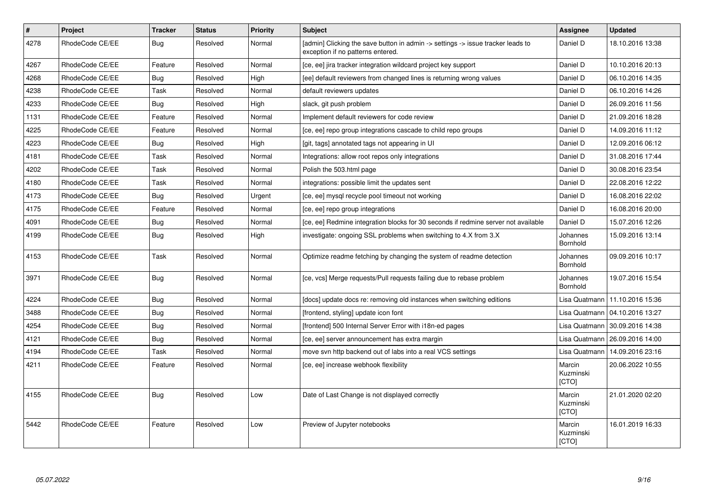| $\vert$ # | Project         | <b>Tracker</b> | <b>Status</b> | Priority | <b>Subject</b>                                                                                                       | Assignee                     | <b>Updated</b>                   |
|-----------|-----------------|----------------|---------------|----------|----------------------------------------------------------------------------------------------------------------------|------------------------------|----------------------------------|
| 4278      | RhodeCode CE/EE | Bug            | Resolved      | Normal   | [admin] Clicking the save button in admin -> settings -> issue tracker leads to<br>exception if no patterns entered. | Daniel D                     | 18.10.2016 13:38                 |
| 4267      | RhodeCode CE/EE | Feature        | Resolved      | Normal   | [ce, ee] jira tracker integration wildcard project key support                                                       | Daniel D                     | 10.10.2016 20:13                 |
| 4268      | RhodeCode CE/EE | Bug            | Resolved      | High     | [ee] default reviewers from changed lines is returning wrong values                                                  | Daniel D                     | 06.10.2016 14:35                 |
| 4238      | RhodeCode CE/EE | Task           | Resolved      | Normal   | default reviewers updates                                                                                            | Daniel D                     | 06.10.2016 14:26                 |
| 4233      | RhodeCode CE/EE | Bug            | Resolved      | High     | slack, git push problem                                                                                              | Daniel D                     | 26.09.2016 11:56                 |
| 1131      | RhodeCode CE/EE | Feature        | Resolved      | Normal   | Implement default reviewers for code review                                                                          | Daniel D                     | 21.09.2016 18:28                 |
| 4225      | RhodeCode CE/EE | Feature        | Resolved      | Normal   | [ce, ee] repo group integrations cascade to child repo groups                                                        | Daniel D                     | 14.09.2016 11:12                 |
| 4223      | RhodeCode CE/EE | Bug            | Resolved      | High     | [git, tags] annotated tags not appearing in UI                                                                       | Daniel D                     | 12.09.2016 06:12                 |
| 4181      | RhodeCode CE/EE | Task           | Resolved      | Normal   | Integrations: allow root repos only integrations                                                                     | Daniel D                     | 31.08.2016 17:44                 |
| 4202      | RhodeCode CE/EE | Task           | Resolved      | Normal   | Polish the 503.html page                                                                                             | Daniel D                     | 30.08.2016 23:54                 |
| 4180      | RhodeCode CE/EE | Task           | Resolved      | Normal   | integrations: possible limit the updates sent                                                                        | Daniel D                     | 22.08.2016 12:22                 |
| 4173      | RhodeCode CE/EE | Bug            | Resolved      | Urgent   | [ce, ee] mysql recycle pool timeout not working                                                                      | Daniel D                     | 16.08.2016 22:02                 |
| 4175      | RhodeCode CE/EE | Feature        | Resolved      | Normal   | [ce, ee] repo group integrations                                                                                     | Daniel D                     | 16.08.2016 20:00                 |
| 4091      | RhodeCode CE/EE | Bug            | Resolved      | Normal   | [ce, ee] Redmine integration blocks for 30 seconds if redmine server not available                                   | Daniel D                     | 15.07.2016 12:26                 |
| 4199      | RhodeCode CE/EE | Bug            | Resolved      | High     | investigate: ongoing SSL problems when switching to 4.X from 3.X                                                     | Johannes<br>Bornhold         | 15.09.2016 13:14                 |
| 4153      | RhodeCode CE/EE | Task           | Resolved      | Normal   | Optimize readme fetching by changing the system of readme detection                                                  | Johannes<br><b>Bornhold</b>  | 09.09.2016 10:17                 |
| 3971      | RhodeCode CE/EE | Bug            | Resolved      | Normal   | [ce, vcs] Merge requests/Pull requests failing due to rebase problem                                                 | Johannes<br>Bornhold         | 19.07.2016 15:54                 |
| 4224      | RhodeCode CE/EE | Bug            | Resolved      | Normal   | [docs] update docs re: removing old instances when switching editions                                                |                              | Lisa Quatmann   11.10.2016 15:36 |
| 3488      | RhodeCode CE/EE | Bug            | Resolved      | Normal   | [frontend, styling] update icon font                                                                                 |                              | Lisa Quatmann   04.10.2016 13:27 |
| 4254      | RhodeCode CE/EE | Bug            | Resolved      | Normal   | [frontend] 500 Internal Server Error with i18n-ed pages                                                              | Lisa Quatmann                | 30.09.2016 14:38                 |
| 4121      | RhodeCode CE/EE | Bug            | Resolved      | Normal   | [ce, ee] server announcement has extra margin                                                                        | Lisa Quatmann                | 26.09.2016 14:00                 |
| 4194      | RhodeCode CE/EE | Task           | Resolved      | Normal   | move svn http backend out of labs into a real VCS settings                                                           | Lisa Quatmann                | 14.09.2016 23:16                 |
| 4211      | RhodeCode CE/EE | Feature        | Resolved      | Normal   | [ce, ee] increase webhook flexibility                                                                                | Marcin<br>Kuzminski<br>[CTO] | 20.06.2022 10:55                 |
| 4155      | RhodeCode CE/EE | Bug            | Resolved      | Low      | Date of Last Change is not displayed correctly                                                                       | Marcin<br>Kuzminski<br>[CTO] | 21.01.2020 02:20                 |
| 5442      | RhodeCode CE/EE | Feature        | Resolved      | Low      | Preview of Jupyter notebooks                                                                                         | Marcin<br>Kuzminski<br>[CTO] | 16.01.2019 16:33                 |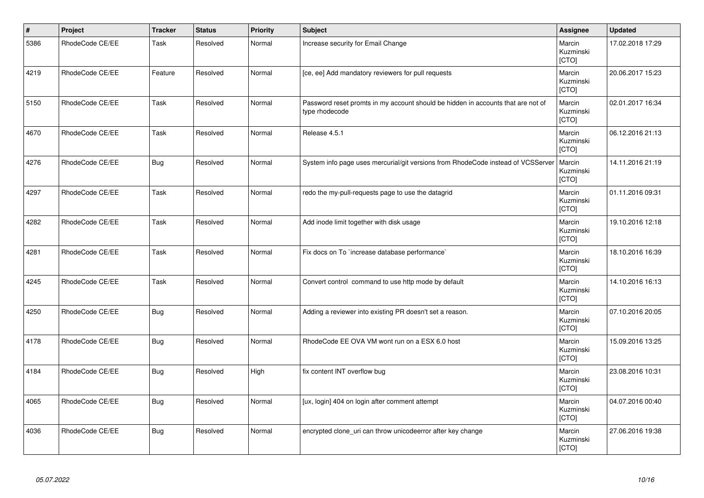| $\vert$ # | Project         | <b>Tracker</b> | <b>Status</b> | <b>Priority</b> | Subject                                                                                            | <b>Assignee</b>              | <b>Updated</b>   |
|-----------|-----------------|----------------|---------------|-----------------|----------------------------------------------------------------------------------------------------|------------------------------|------------------|
| 5386      | RhodeCode CE/EE | Task           | Resolved      | Normal          | Increase security for Email Change                                                                 | Marcin<br>Kuzminski<br>[CTO] | 17.02.2018 17:29 |
| 4219      | RhodeCode CE/EE | Feature        | Resolved      | Normal          | [ce, ee] Add mandatory reviewers for pull requests                                                 | Marcin<br>Kuzminski<br>[CTO] | 20.06.2017 15:23 |
| 5150      | RhodeCode CE/EE | Task           | Resolved      | Normal          | Password reset promts in my account should be hidden in accounts that are not of<br>type rhodecode | Marcin<br>Kuzminski<br>[CTO] | 02.01.2017 16:34 |
| 4670      | RhodeCode CE/EE | Task           | Resolved      | Normal          | Release 4.5.1                                                                                      | Marcin<br>Kuzminski<br>[CTO] | 06.12.2016 21:13 |
| 4276      | RhodeCode CE/EE | <b>Bug</b>     | Resolved      | Normal          | System info page uses mercurial/git versions from RhodeCode instead of VCSServer                   | Marcin<br>Kuzminski<br>[CTO] | 14.11.2016 21:19 |
| 4297      | RhodeCode CE/EE | Task           | Resolved      | Normal          | redo the my-pull-requests page to use the datagrid                                                 | Marcin<br>Kuzminski<br>[CTO] | 01.11.2016 09:31 |
| 4282      | RhodeCode CE/EE | Task           | Resolved      | Normal          | Add inode limit together with disk usage                                                           | Marcin<br>Kuzminski<br>[CTO] | 19.10.2016 12:18 |
| 4281      | RhodeCode CE/EE | Task           | Resolved      | Normal          | Fix docs on To `increase database performance`                                                     | Marcin<br>Kuzminski<br>[CTO] | 18.10.2016 16:39 |
| 4245      | RhodeCode CE/EE | Task           | Resolved      | Normal          | Convert control command to use http mode by default                                                | Marcin<br>Kuzminski<br>[CTO] | 14.10.2016 16:13 |
| 4250      | RhodeCode CE/EE | <b>Bug</b>     | Resolved      | Normal          | Adding a reviewer into existing PR doesn't set a reason.                                           | Marcin<br>Kuzminski<br>[CTO] | 07.10.2016 20:05 |
| 4178      | RhodeCode CE/EE | Bug            | Resolved      | Normal          | RhodeCode EE OVA VM wont run on a ESX 6.0 host                                                     | Marcin<br>Kuzminski<br>[CTO] | 15.09.2016 13:25 |
| 4184      | RhodeCode CE/EE | <b>Bug</b>     | Resolved      | High            | fix content INT overflow bug                                                                       | Marcin<br>Kuzminski<br>[CTO] | 23.08.2016 10:31 |
| 4065      | RhodeCode CE/EE | Bug            | Resolved      | Normal          | [ux, login] 404 on login after comment attempt                                                     | Marcin<br>Kuzminski<br>[CTO] | 04.07.2016 00:40 |
| 4036      | RhodeCode CE/EE | <b>Bug</b>     | Resolved      | Normal          | encrypted clone_uri can throw unicodeerror after key change                                        | Marcin<br>Kuzminski<br>[CTO] | 27.06.2016 19:38 |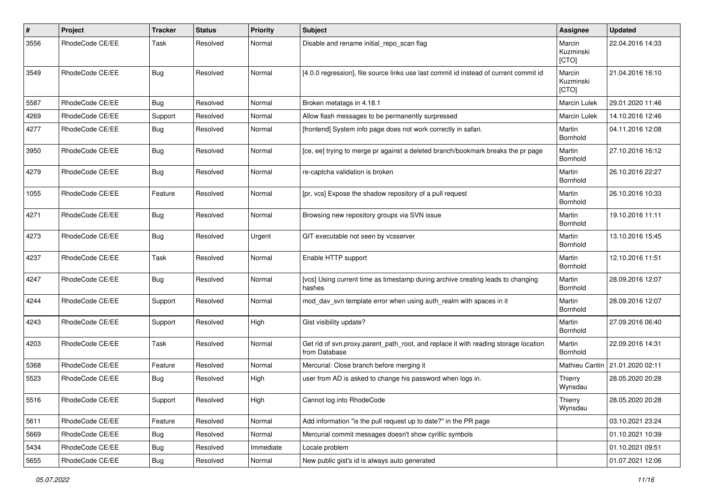| #    | Project         | <b>Tracker</b> | <b>Status</b> | <b>Priority</b> | <b>Subject</b>                                                                                       | <b>Assignee</b>              | <b>Updated</b>   |
|------|-----------------|----------------|---------------|-----------------|------------------------------------------------------------------------------------------------------|------------------------------|------------------|
| 3556 | RhodeCode CE/EE | Task           | Resolved      | Normal          | Disable and rename initial repo scan flag                                                            | Marcin<br>Kuzminski<br>[CTO] | 22.04.2016 14:33 |
| 3549 | RhodeCode CE/EE | Bug            | Resolved      | Normal          | [4.0.0 regression], file source links use last commit id instead of current commit id                | Marcin<br>Kuzminski<br>[CTO] | 21.04.2016 16:10 |
| 5587 | RhodeCode CE/EE | Bug            | Resolved      | Normal          | Broken metatags in 4.18.1                                                                            | Marcin Lulek                 | 29.01.2020 11:46 |
| 4269 | RhodeCode CE/EE | Support        | Resolved      | Normal          | Allow flash messages to be permanently surpressed                                                    | Marcin Lulek                 | 14.10.2016 12:46 |
| 4277 | RhodeCode CE/EE | Bug            | Resolved      | Normal          | [frontend] System info page does not work correctly in safari.                                       | Martin<br>Bornhold           | 04.11.2016 12:08 |
| 3950 | RhodeCode CE/EE | Bug            | Resolved      | Normal          | [ce, ee] trying to merge pr against a deleted branch/bookmark breaks the pr page                     | Martin<br>Bornhold           | 27.10.2016 16:12 |
| 4279 | RhodeCode CE/EE | Bug            | Resolved      | Normal          | re-captcha validation is broken                                                                      | Martin<br>Bornhold           | 26.10.2016 22:27 |
| 1055 | RhodeCode CE/EE | Feature        | Resolved      | Normal          | [pr, vcs] Expose the shadow repository of a pull request                                             | Martin<br>Bornhold           | 26.10.2016 10:33 |
| 4271 | RhodeCode CE/EE | Bug            | Resolved      | Normal          | Browsing new repository groups via SVN issue                                                         | Martin<br>Bornhold           | 19.10.2016 11:11 |
| 4273 | RhodeCode CE/EE | Bug            | Resolved      | Urgent          | GIT executable not seen by vcsserver                                                                 | Martin<br>Bornhold           | 13.10.2016 15:45 |
| 4237 | RhodeCode CE/EE | Task           | Resolved      | Normal          | Enable HTTP support                                                                                  | Martin<br>Bornhold           | 12.10.2016 11:51 |
| 4247 | RhodeCode CE/EE | Bug            | Resolved      | Normal          | [vcs] Using current time as timestamp during archive creating leads to changing<br>hashes            | Martin<br>Bornhold           | 28.09.2016 12:07 |
| 4244 | RhodeCode CE/EE | Support        | Resolved      | Normal          | mod day syn template error when using auth realm with spaces in it                                   | Martin<br>Bornhold           | 28.09.2016 12:07 |
| 4243 | RhodeCode CE/EE | Support        | Resolved      | High            | Gist visibility update?                                                                              | Martin<br>Bornhold           | 27.09.2016 06:40 |
| 4203 | RhodeCode CE/EE | Task           | Resolved      | Normal          | Get rid of svn.proxy.parent_path_root, and replace it with reading storage location<br>from Database | Martin<br>Bornhold           | 22.09.2016 14:31 |
| 5368 | RhodeCode CE/EE | Feature        | Resolved      | Normal          | Mercurial: Close branch before merging it                                                            | Mathieu Cantin               | 21.01.2020 02:11 |
| 5523 | RhodeCode CE/EE | Bug            | Resolved      | High            | user from AD is asked to change his password when logs in.                                           | Thierry<br>Wynsdau           | 28.05.2020 20:28 |
| 5516 | RhodeCode CE/EE | Support        | Resolved      | High            | Cannot log into RhodeCode                                                                            | Thierry<br>Wynsdau           | 28.05.2020 20:28 |
| 5611 | RhodeCode CE/EE | Feature        | Resolved      | Normal          | Add information "is the pull request up to date?" in the PR page                                     |                              | 03.10.2021 23:24 |
| 5669 | RhodeCode CE/EE | Bug            | Resolved      | Normal          | Mercurial commit messages doesn't show cyrillic symbols                                              |                              | 01.10.2021 10:39 |
| 5434 | RhodeCode CE/EE | <b>Bug</b>     | Resolved      | Immediate       | Locale problem                                                                                       |                              | 01.10.2021 09:51 |
| 5655 | RhodeCode CE/EE | Bug            | Resolved      | Normal          | New public gist's id is always auto generated                                                        |                              | 01.07.2021 12:06 |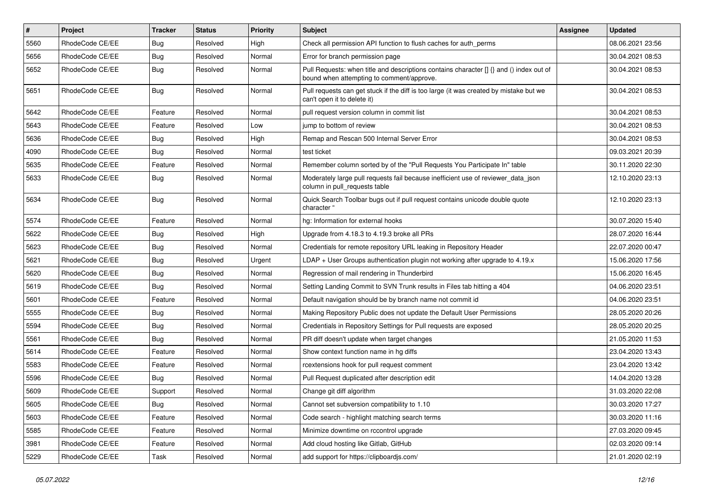| $\vert$ # | <b>Project</b>  | Tracker    | <b>Status</b> | <b>Priority</b> | <b>Subject</b>                                                                                                                       | Assignee | Updated          |
|-----------|-----------------|------------|---------------|-----------------|--------------------------------------------------------------------------------------------------------------------------------------|----------|------------------|
| 5560      | RhodeCode CE/EE | <b>Bug</b> | Resolved      | High            | Check all permission API function to flush caches for auth_perms                                                                     |          | 08.06.2021 23:56 |
| 5656      | RhodeCode CE/EE | <b>Bug</b> | Resolved      | Normal          | Error for branch permission page                                                                                                     |          | 30.04.2021 08:53 |
| 5652      | RhodeCode CE/EE | Bug        | Resolved      | Normal          | Pull Requests: when title and descriptions contains character [] {} and () index out of<br>bound when attempting to comment/approve. |          | 30.04.2021 08:53 |
| 5651      | RhodeCode CE/EE | Bug        | Resolved      | Normal          | Pull requests can get stuck if the diff is too large (it was created by mistake but we<br>can't open it to delete it)                |          | 30.04.2021 08:53 |
| 5642      | RhodeCode CE/EE | Feature    | Resolved      | Normal          | pull request version column in commit list                                                                                           |          | 30.04.2021 08:53 |
| 5643      | RhodeCode CE/EE | Feature    | Resolved      | Low             | jump to bottom of review                                                                                                             |          | 30.04.2021 08:53 |
| 5636      | RhodeCode CE/EE | <b>Bug</b> | Resolved      | High            | Remap and Rescan 500 Internal Server Error                                                                                           |          | 30.04.2021 08:53 |
| 4090      | RhodeCode CE/EE | Bug        | Resolved      | Normal          | test ticket                                                                                                                          |          | 09.03.2021 20:39 |
| 5635      | RhodeCode CE/EE | Feature    | Resolved      | Normal          | Remember column sorted by of the "Pull Requests You Participate In" table                                                            |          | 30.11.2020 22:30 |
| 5633      | RhodeCode CE/EE | Bug        | Resolved      | Normal          | Moderately large pull requests fail because inefficient use of reviewer_data_json<br>column in pull requests table                   |          | 12.10.2020 23:13 |
| 5634      | RhodeCode CE/EE | <b>Bug</b> | Resolved      | Normal          | Quick Search Toolbar bugs out if pull request contains unicode double quote<br>character "                                           |          | 12.10.2020 23:13 |
| 5574      | RhodeCode CE/EE | Feature    | Resolved      | Normal          | hg: Information for external hooks                                                                                                   |          | 30.07.2020 15:40 |
| 5622      | RhodeCode CE/EE | <b>Bug</b> | Resolved      | High            | Upgrade from 4.18.3 to 4.19.3 broke all PRs                                                                                          |          | 28.07.2020 16:44 |
| 5623      | RhodeCode CE/EE | Bug        | Resolved      | Normal          | Credentials for remote repository URL leaking in Repository Header                                                                   |          | 22.07.2020 00:47 |
| 5621      | RhodeCode CE/EE | <b>Bug</b> | Resolved      | Urgent          | LDAP + User Groups authentication plugin not working after upgrade to 4.19.x                                                         |          | 15.06.2020 17:56 |
| 5620      | RhodeCode CE/EE | <b>Bug</b> | Resolved      | Normal          | Regression of mail rendering in Thunderbird                                                                                          |          | 15.06.2020 16:45 |
| 5619      | RhodeCode CE/EE | <b>Bug</b> | Resolved      | Normal          | Setting Landing Commit to SVN Trunk results in Files tab hitting a 404                                                               |          | 04.06.2020 23:51 |
| 5601      | RhodeCode CE/EE | Feature    | Resolved      | Normal          | Default navigation should be by branch name not commit id                                                                            |          | 04.06.2020 23:51 |
| 5555      | RhodeCode CE/EE | <b>Bug</b> | Resolved      | Normal          | Making Repository Public does not update the Default User Permissions                                                                |          | 28.05.2020 20:26 |
| 5594      | RhodeCode CE/EE | <b>Bug</b> | Resolved      | Normal          | Credentials in Repository Settings for Pull requests are exposed                                                                     |          | 28.05.2020 20:25 |
| 5561      | RhodeCode CE/EE | <b>Bug</b> | Resolved      | Normal          | PR diff doesn't update when target changes                                                                                           |          | 21.05.2020 11:53 |
| 5614      | RhodeCode CE/EE | Feature    | Resolved      | Normal          | Show context function name in hg diffs                                                                                               |          | 23.04.2020 13:43 |
| 5583      | RhodeCode CE/EE | Feature    | Resolved      | Normal          | rcextensions hook for pull request comment                                                                                           |          | 23.04.2020 13:42 |
| 5596      | RhodeCode CE/EE | Bug        | Resolved      | Normal          | Pull Request duplicated after description edit                                                                                       |          | 14.04.2020 13:28 |
| 5609      | RhodeCode CE/EE | Support    | Resolved      | Normal          | Change git diff algorithm                                                                                                            |          | 31.03.2020 22:08 |
| 5605      | RhodeCode CE/EE | <b>Bug</b> | Resolved      | Normal          | Cannot set subversion compatibility to 1.10                                                                                          |          | 30.03.2020 17:27 |
| 5603      | RhodeCode CE/EE | Feature    | Resolved      | Normal          | Code search - highlight matching search terms                                                                                        |          | 30.03.2020 11:16 |
| 5585      | RhodeCode CE/EE | Feature    | Resolved      | Normal          | Minimize downtime on rccontrol upgrade                                                                                               |          | 27.03.2020 09:45 |
| 3981      | RhodeCode CE/EE | Feature    | Resolved      | Normal          | Add cloud hosting like Gitlab, GitHub                                                                                                |          | 02.03.2020 09:14 |
| 5229      | RhodeCode CE/EE | Task       | Resolved      | Normal          | add support for https://clipboardjs.com/                                                                                             |          | 21.01.2020 02:19 |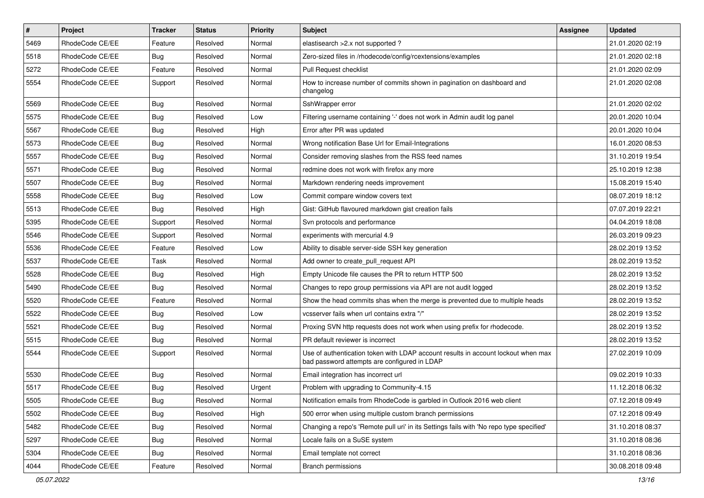| $\vert$ # | Project         | <b>Tracker</b> | <b>Status</b> | <b>Priority</b> | <b>Subject</b>                                                                                                                    | <b>Assignee</b> | <b>Updated</b>   |
|-----------|-----------------|----------------|---------------|-----------------|-----------------------------------------------------------------------------------------------------------------------------------|-----------------|------------------|
| 5469      | RhodeCode CE/EE | Feature        | Resolved      | Normal          | elastisearch > 2.x not supported?                                                                                                 |                 | 21.01.2020 02:19 |
| 5518      | RhodeCode CE/EE | Bug            | Resolved      | Normal          | Zero-sized files in /rhodecode/config/rcextensions/examples                                                                       |                 | 21.01.2020 02:18 |
| 5272      | RhodeCode CE/EE | Feature        | Resolved      | Normal          | Pull Request checklist                                                                                                            |                 | 21.01.2020 02:09 |
| 5554      | RhodeCode CE/EE | Support        | Resolved      | Normal          | How to increase number of commits shown in pagination on dashboard and<br>changelog                                               |                 | 21.01.2020 02:08 |
| 5569      | RhodeCode CE/EE | Bug            | Resolved      | Normal          | SshWrapper error                                                                                                                  |                 | 21.01.2020 02:02 |
| 5575      | RhodeCode CE/EE | Bug            | Resolved      | Low             | Filtering username containing '-' does not work in Admin audit log panel                                                          |                 | 20.01.2020 10:04 |
| 5567      | RhodeCode CE/EE | <b>Bug</b>     | Resolved      | High            | Error after PR was updated                                                                                                        |                 | 20.01.2020 10:04 |
| 5573      | RhodeCode CE/EE | Bug            | Resolved      | Normal          | Wrong notification Base Url for Email-Integrations                                                                                |                 | 16.01.2020 08:53 |
| 5557      | RhodeCode CE/EE | Bug            | Resolved      | Normal          | Consider removing slashes from the RSS feed names                                                                                 |                 | 31.10.2019 19:54 |
| 5571      | RhodeCode CE/EE | Bug            | Resolved      | Normal          | redmine does not work with firefox any more                                                                                       |                 | 25.10.2019 12:38 |
| 5507      | RhodeCode CE/EE | <b>Bug</b>     | Resolved      | Normal          | Markdown rendering needs improvement                                                                                              |                 | 15.08.2019 15:40 |
| 5558      | RhodeCode CE/EE | Bug            | Resolved      | Low             | Commit compare window covers text                                                                                                 |                 | 08.07.2019 18:12 |
| 5513      | RhodeCode CE/EE | Bug            | Resolved      | High            | Gist: GitHub flavoured markdown gist creation fails                                                                               |                 | 07.07.2019 22:21 |
| 5395      | RhodeCode CE/EE | Support        | Resolved      | Normal          | Svn protocols and performance                                                                                                     |                 | 04.04.2019 18:08 |
| 5546      | RhodeCode CE/EE | Support        | Resolved      | Normal          | experiments with mercurial 4.9                                                                                                    |                 | 26.03.2019 09:23 |
| 5536      | RhodeCode CE/EE | Feature        | Resolved      | Low             | Ability to disable server-side SSH key generation                                                                                 |                 | 28.02.2019 13:52 |
| 5537      | RhodeCode CE/EE | <b>Task</b>    | Resolved      | Normal          | Add owner to create_pull_request API                                                                                              |                 | 28.02.2019 13:52 |
| 5528      | RhodeCode CE/EE | Bug            | Resolved      | High            | Empty Unicode file causes the PR to return HTTP 500                                                                               |                 | 28.02.2019 13:52 |
| 5490      | RhodeCode CE/EE | Bug            | Resolved      | Normal          | Changes to repo group permissions via API are not audit logged                                                                    |                 | 28.02.2019 13:52 |
| 5520      | RhodeCode CE/EE | Feature        | Resolved      | Normal          | Show the head commits shas when the merge is prevented due to multiple heads                                                      |                 | 28.02.2019 13:52 |
| 5522      | RhodeCode CE/EE | Bug            | Resolved      | Low             | vcsserver fails when url contains extra "/"                                                                                       |                 | 28.02.2019 13:52 |
| 5521      | RhodeCode CE/EE | Bug            | Resolved      | Normal          | Proxing SVN http requests does not work when using prefix for rhodecode.                                                          |                 | 28.02.2019 13:52 |
| 5515      | RhodeCode CE/EE | Bug            | Resolved      | Normal          | PR default reviewer is incorrect                                                                                                  |                 | 28.02.2019 13:52 |
| 5544      | RhodeCode CE/EE | Support        | Resolved      | Normal          | Use of authentication token with LDAP account results in account lockout when max<br>bad password attempts are configured in LDAP |                 | 27.02.2019 10:09 |
| 5530      | RhodeCode CE/EE | Bug            | Resolved      | Normal          | Email integration has incorrect url                                                                                               |                 | 09.02.2019 10:33 |
| 5517      | RhodeCode CE/EE | Bug            | Resolved      | Urgent          | Problem with upgrading to Community-4.15                                                                                          |                 | 11.12.2018 06:32 |
| 5505      | RhodeCode CE/EE | Bug            | Resolved      | Normal          | Notification emails from RhodeCode is garbled in Outlook 2016 web client                                                          |                 | 07.12.2018 09:49 |
| 5502      | RhodeCode CE/EE | Bug            | Resolved      | High            | 500 error when using multiple custom branch permissions                                                                           |                 | 07.12.2018 09:49 |
| 5482      | RhodeCode CE/EE | Bug            | Resolved      | Normal          | Changing a repo's 'Remote pull uri' in its Settings fails with 'No repo type specified'                                           |                 | 31.10.2018 08:37 |
| 5297      | RhodeCode CE/EE | Bug            | Resolved      | Normal          | Locale fails on a SuSE system                                                                                                     |                 | 31.10.2018 08:36 |
| 5304      | RhodeCode CE/EE | <b>Bug</b>     | Resolved      | Normal          | Email template not correct                                                                                                        |                 | 31.10.2018 08:36 |
| 4044      | RhodeCode CE/EE | Feature        | Resolved      | Normal          | Branch permissions                                                                                                                |                 | 30.08.2018 09:48 |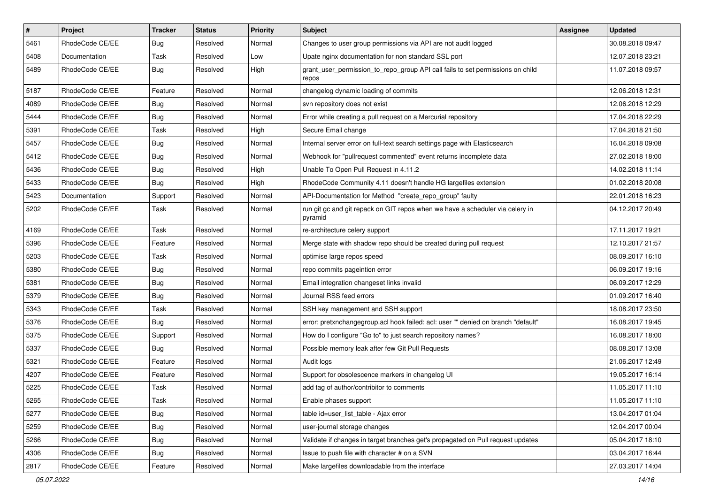| $\vert$ # | Project         | <b>Tracker</b> | <b>Status</b> | <b>Priority</b> | Subject                                                                                  | <b>Assignee</b> | <b>Updated</b>   |
|-----------|-----------------|----------------|---------------|-----------------|------------------------------------------------------------------------------------------|-----------------|------------------|
| 5461      | RhodeCode CE/EE | <b>Bug</b>     | Resolved      | Normal          | Changes to user group permissions via API are not audit logged                           |                 | 30.08.2018 09:47 |
| 5408      | Documentation   | Task           | Resolved      | Low             | Upate nginx documentation for non standard SSL port                                      |                 | 12.07.2018 23:21 |
| 5489      | RhodeCode CE/EE | Bug            | Resolved      | High            | grant_user_permission_to_repo_group API call fails to set permissions on child<br>repos  |                 | 11.07.2018 09:57 |
| 5187      | RhodeCode CE/EE | Feature        | Resolved      | Normal          | changelog dynamic loading of commits                                                     |                 | 12.06.2018 12:31 |
| 4089      | RhodeCode CE/EE | Bug            | Resolved      | Normal          | svn repository does not exist                                                            |                 | 12.06.2018 12:29 |
| 5444      | RhodeCode CE/EE | Bug            | Resolved      | Normal          | Error while creating a pull request on a Mercurial repository                            |                 | 17.04.2018 22:29 |
| 5391      | RhodeCode CE/EE | Task           | Resolved      | High            | Secure Email change                                                                      |                 | 17.04.2018 21:50 |
| 5457      | RhodeCode CE/EE | Bug            | Resolved      | Normal          | Internal server error on full-text search settings page with Elasticsearch               |                 | 16.04.2018 09:08 |
| 5412      | RhodeCode CE/EE | <b>Bug</b>     | Resolved      | Normal          | Webhook for "pullrequest commented" event returns incomplete data                        |                 | 27.02.2018 18:00 |
| 5436      | RhodeCode CE/EE | Bug            | Resolved      | High            | Unable To Open Pull Request in 4.11.2                                                    |                 | 14.02.2018 11:14 |
| 5433      | RhodeCode CE/EE | <b>Bug</b>     | Resolved      | High            | RhodeCode Community 4.11 doesn't handle HG largefiles extension                          |                 | 01.02.2018 20:08 |
| 5423      | Documentation   | Support        | Resolved      | Normal          | API-Documentation for Method "create_repo_group" faulty                                  |                 | 22.01.2018 16:23 |
| 5202      | RhodeCode CE/EE | Task           | Resolved      | Normal          | run git gc and git repack on GIT repos when we have a scheduler via celery in<br>pyramid |                 | 04.12.2017 20:49 |
| 4169      | RhodeCode CE/EE | Task           | Resolved      | Normal          | re-architecture celery support                                                           |                 | 17.11.2017 19:21 |
| 5396      | RhodeCode CE/EE | Feature        | Resolved      | Normal          | Merge state with shadow repo should be created during pull request                       |                 | 12.10.2017 21:57 |
| 5203      | RhodeCode CE/EE | Task           | Resolved      | Normal          | optimise large repos speed                                                               |                 | 08.09.2017 16:10 |
| 5380      | RhodeCode CE/EE | Bug            | Resolved      | Normal          | repo commits pageintion error                                                            |                 | 06.09.2017 19:16 |
| 5381      | RhodeCode CE/EE | <b>Bug</b>     | Resolved      | Normal          | Email integration changeset links invalid                                                |                 | 06.09.2017 12:29 |
| 5379      | RhodeCode CE/EE | Bug            | Resolved      | Normal          | Journal RSS feed errors                                                                  |                 | 01.09.2017 16:40 |
| 5343      | RhodeCode CE/EE | Task           | Resolved      | Normal          | SSH key management and SSH support                                                       |                 | 18.08.2017 23:50 |
| 5376      | RhodeCode CE/EE | <b>Bug</b>     | Resolved      | Normal          | error: pretxnchangegroup.acl hook failed: acl: user "" denied on branch "default"        |                 | 16.08.2017 19:45 |
| 5375      | RhodeCode CE/EE | Support        | Resolved      | Normal          | How do I configure "Go to" to just search repository names?                              |                 | 16.08.2017 18:00 |
| 5337      | RhodeCode CE/EE | Bug            | Resolved      | Normal          | Possible memory leak after few Git Pull Requests                                         |                 | 08.08.2017 13:08 |
| 5321      | RhodeCode CE/EE | Feature        | Resolved      | Normal          | Audit logs                                                                               |                 | 21.06.2017 12:49 |
| 4207      | RhodeCode CE/EE | Feature        | Resolved      | Normal          | Support for obsolescence markers in changelog UI                                         |                 | 19.05.2017 16:14 |
| 5225      | RhodeCode CE/EE | Task           | Resolved      | Normal          | add tag of author/contribitor to comments                                                |                 | 11.05.2017 11:10 |
| 5265      | RhodeCode CE/EE | Task           | Resolved      | Normal          | Enable phases support                                                                    |                 | 11.05.2017 11:10 |
| 5277      | RhodeCode CE/EE | <b>Bug</b>     | Resolved      | Normal          | table id=user_list_table - Ajax error                                                    |                 | 13.04.2017 01:04 |
| 5259      | RhodeCode CE/EE | Bug            | Resolved      | Normal          | user-journal storage changes                                                             |                 | 12.04.2017 00:04 |
| 5266      | RhodeCode CE/EE | <b>Bug</b>     | Resolved      | Normal          | Validate if changes in target branches get's propagated on Pull request updates          |                 | 05.04.2017 18:10 |
| 4306      | RhodeCode CE/EE | <b>Bug</b>     | Resolved      | Normal          | Issue to push file with character # on a SVN                                             |                 | 03.04.2017 16:44 |
| 2817      | RhodeCode CE/EE | Feature        | Resolved      | Normal          | Make largefiles downloadable from the interface                                          |                 | 27.03.2017 14:04 |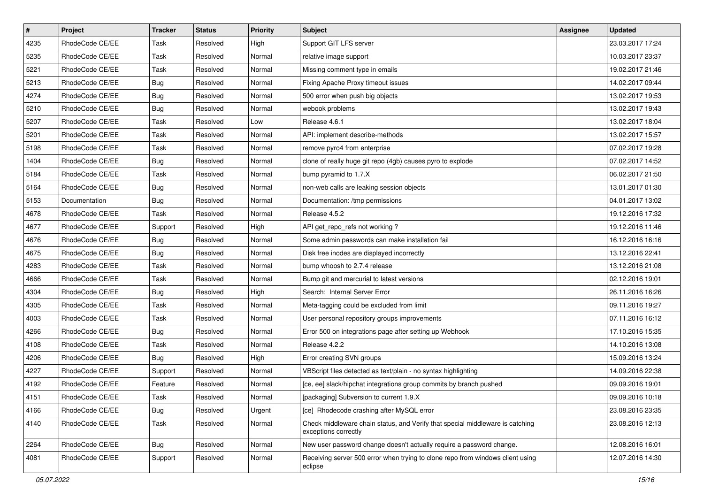| $\sharp$ | Project         | <b>Tracker</b> | <b>Status</b> | Priority | Subject                                                                                               | Assignee | <b>Updated</b>   |
|----------|-----------------|----------------|---------------|----------|-------------------------------------------------------------------------------------------------------|----------|------------------|
| 4235     | RhodeCode CE/EE | Task           | Resolved      | High     | Support GIT LFS server                                                                                |          | 23.03.2017 17:24 |
| 5235     | RhodeCode CE/EE | Task           | Resolved      | Normal   | relative image support                                                                                |          | 10.03.2017 23:37 |
| 5221     | RhodeCode CE/EE | Task           | Resolved      | Normal   | Missing comment type in emails                                                                        |          | 19.02.2017 21:46 |
| 5213     | RhodeCode CE/EE | Bug            | Resolved      | Normal   | Fixing Apache Proxy timeout issues                                                                    |          | 14.02.2017 09:44 |
| 4274     | RhodeCode CE/EE | Bug            | Resolved      | Normal   | 500 error when push big objects                                                                       |          | 13.02.2017 19:53 |
| 5210     | RhodeCode CE/EE | <b>Bug</b>     | Resolved      | Normal   | webook problems                                                                                       |          | 13.02.2017 19:43 |
| 5207     | RhodeCode CE/EE | Task           | Resolved      | Low      | Release 4.6.1                                                                                         |          | 13.02.2017 18:04 |
| 5201     | RhodeCode CE/EE | Task           | Resolved      | Normal   | API: implement describe-methods                                                                       |          | 13.02.2017 15:57 |
| 5198     | RhodeCode CE/EE | Task           | Resolved      | Normal   | remove pyro4 from enterprise                                                                          |          | 07.02.2017 19:28 |
| 1404     | RhodeCode CE/EE | Bug            | Resolved      | Normal   | clone of really huge git repo (4gb) causes pyro to explode                                            |          | 07.02.2017 14:52 |
| 5184     | RhodeCode CE/EE | Task           | Resolved      | Normal   | bump pyramid to 1.7.X                                                                                 |          | 06.02.2017 21:50 |
| 5164     | RhodeCode CE/EE | Bug            | Resolved      | Normal   | non-web calls are leaking session objects                                                             |          | 13.01.2017 01:30 |
| 5153     | Documentation   | Bug            | Resolved      | Normal   | Documentation: /tmp permissions                                                                       |          | 04.01.2017 13:02 |
| 4678     | RhodeCode CE/EE | Task           | Resolved      | Normal   | Release 4.5.2                                                                                         |          | 19.12.2016 17:32 |
| 4677     | RhodeCode CE/EE | Support        | Resolved      | High     | API get_repo_refs not working?                                                                        |          | 19.12.2016 11:46 |
| 4676     | RhodeCode CE/EE | Bug            | Resolved      | Normal   | Some admin passwords can make installation fail                                                       |          | 16.12.2016 16:16 |
| 4675     | RhodeCode CE/EE | Bug            | Resolved      | Normal   | Disk free inodes are displayed incorrectly                                                            |          | 13.12.2016 22:41 |
| 4283     | RhodeCode CE/EE | <b>Task</b>    | Resolved      | Normal   | bump whoosh to 2.7.4 release                                                                          |          | 13.12.2016 21:08 |
| 4666     | RhodeCode CE/EE | Task           | Resolved      | Normal   | Bump git and mercurial to latest versions                                                             |          | 02.12.2016 19:01 |
| 4304     | RhodeCode CE/EE | <b>Bug</b>     | Resolved      | High     | Search: Internal Server Error                                                                         |          | 26.11.2016 16:26 |
| 4305     | RhodeCode CE/EE | Task           | Resolved      | Normal   | Meta-tagging could be excluded from limit                                                             |          | 09.11.2016 19:27 |
| 4003     | RhodeCode CE/EE | Task           | Resolved      | Normal   | User personal repository groups improvements                                                          |          | 07.11.2016 16:12 |
| 4266     | RhodeCode CE/EE | Bug            | Resolved      | Normal   | Error 500 on integrations page after setting up Webhook                                               |          | 17.10.2016 15:35 |
| 4108     | RhodeCode CE/EE | Task           | Resolved      | Normal   | Release 4.2.2                                                                                         |          | 14.10.2016 13:08 |
| 4206     | RhodeCode CE/EE | Bug            | Resolved      | High     | Error creating SVN groups                                                                             |          | 15.09.2016 13:24 |
| 4227     | RhodeCode CE/EE | Support        | Resolved      | Normal   | VBScript files detected as text/plain - no syntax highlighting                                        |          | 14.09.2016 22:38 |
| 4192     | RhodeCode CE/EE | Feature        | Resolved      | Normal   | [ce, ee] slack/hipchat integrations group commits by branch pushed                                    |          | 09.09.2016 19:01 |
| 4151     | RhodeCode CE/EE | Task           | Resolved      | Normal   | [packaging] Subversion to current 1.9.X                                                               |          | 09.09.2016 10:18 |
| 4166     | RhodeCode CE/EE | Bug            | Resolved      | Urgent   | [ce] Rhodecode crashing after MySQL error                                                             |          | 23.08.2016 23:35 |
| 4140     | RhodeCode CE/EE | Task           | Resolved      | Normal   | Check middleware chain status, and Verify that special middleware is catching<br>exceptions correctly |          | 23.08.2016 12:13 |
| 2264     | RhodeCode CE/EE | Bug            | Resolved      | Normal   | New user password change doesn't actually require a password change.                                  |          | 12.08.2016 16:01 |
| 4081     | RhodeCode CE/EE | Support        | Resolved      | Normal   | Receiving server 500 error when trying to clone repo from windows client using<br>eclipse             |          | 12.07.2016 14:30 |